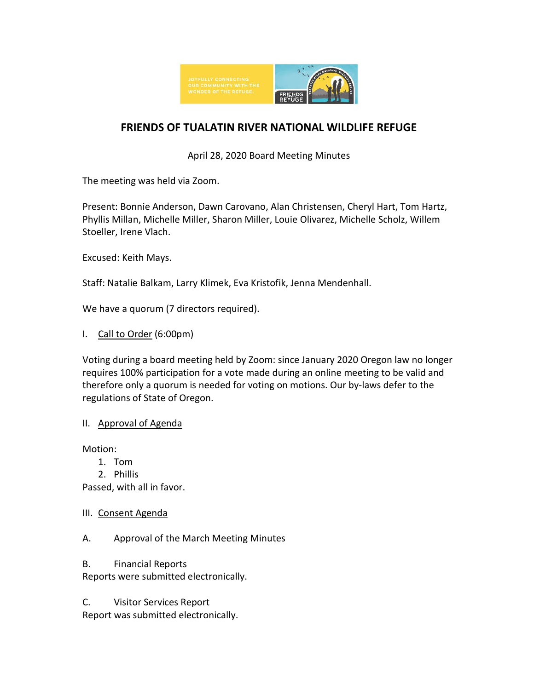

# **FRIENDS OF TUALATIN RIVER NATIONAL WILDLIFE REFUGE**

April 28, 2020 Board Meeting Minutes

The meeting was held via Zoom.

Present: Bonnie Anderson, Dawn Carovano, Alan Christensen, Cheryl Hart, Tom Hartz, Phyllis Millan, Michelle Miller, Sharon Miller, Louie Olivarez, Michelle Scholz, Willem Stoeller, Irene Vlach.

Excused: Keith Mays.

Staff: Natalie Balkam, Larry Klimek, Eva Kristofik, Jenna Mendenhall.

We have a quorum (7 directors required).

I. Call to Order (6:00pm)

Voting during a board meeting held by Zoom: since January 2020 Oregon law no longer requires 100% participation for a vote made during an online meeting to be valid and therefore only a quorum is needed for voting on motions. Our by-laws defer to the regulations of State of Oregon.

#### II. Approval of Agenda

Motion:

- 1. Tom
- 2. Phillis

Passed, with all in favor.

III. Consent Agenda

A. Approval of the March Meeting Minutes

B. Financial Reports

Reports were submitted electronically.

C. Visitor Services Report Report was submitted electronically.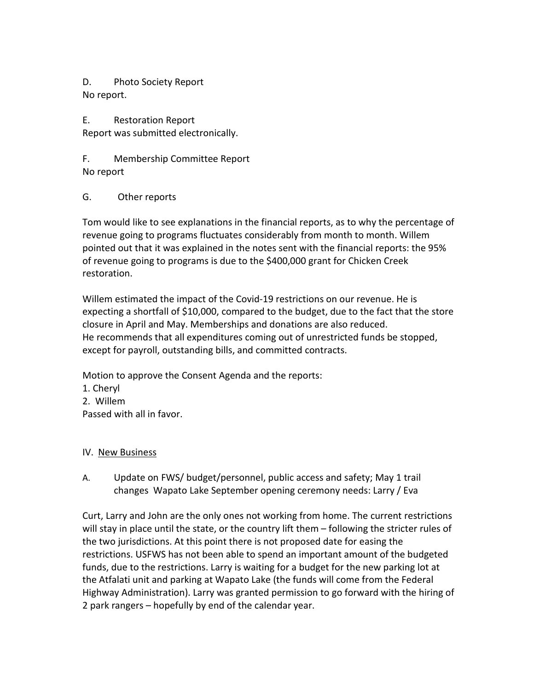D. Photo Society Report No report.

E. Restoration Report Report was submitted electronically.

F. Membership Committee Report No report

G. Other reports

Tom would like to see explanations in the financial reports, as to why the percentage of revenue going to programs fluctuates considerably from month to month. Willem pointed out that it was explained in the notes sent with the financial reports: the 95% of revenue going to programs is due to the \$400,000 grant for Chicken Creek restoration.

Willem estimated the impact of the Covid-19 restrictions on our revenue. He is expecting a shortfall of \$10,000, compared to the budget, due to the fact that the store closure in April and May. Memberships and donations are also reduced. He recommends that all expenditures coming out of unrestricted funds be stopped, except for payroll, outstanding bills, and committed contracts.

Motion to approve the Consent Agenda and the reports:

1. Cheryl

2. Willem

Passed with all in favor.

#### IV. New Business

A. Update on FWS/ budget/personnel, public access and safety; May 1 trail changes Wapato Lake September opening ceremony needs: Larry / Eva

Curt, Larry and John are the only ones not working from home. The current restrictions will stay in place until the state, or the country lift them – following the stricter rules of the two jurisdictions. At this point there is not proposed date for easing the restrictions. USFWS has not been able to spend an important amount of the budgeted funds, due to the restrictions. Larry is waiting for a budget for the new parking lot at the Atfalati unit and parking at Wapato Lake (the funds will come from the Federal Highway Administration). Larry was granted permission to go forward with the hiring of 2 park rangers – hopefully by end of the calendar year.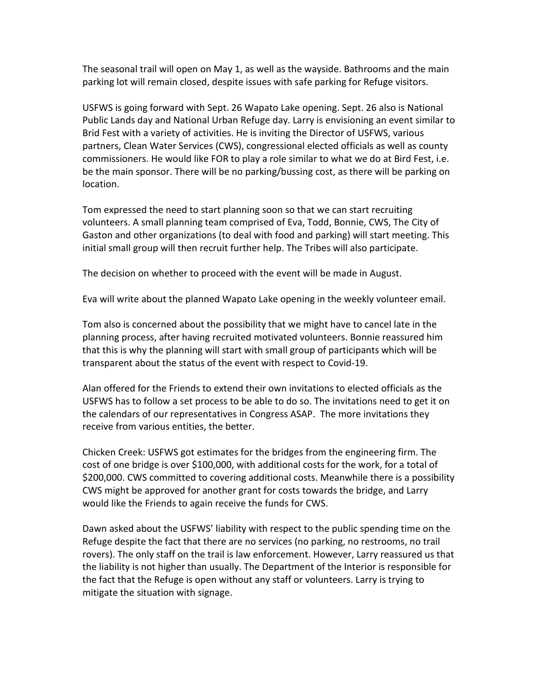The seasonal trail will open on May 1, as well as the wayside. Bathrooms and the main parking lot will remain closed, despite issues with safe parking for Refuge visitors.

USFWS is going forward with Sept. 26 Wapato Lake opening. Sept. 26 also is National Public Lands day and National Urban Refuge day. Larry is envisioning an event similar to Brid Fest with a variety of activities. He is inviting the Director of USFWS, various partners, Clean Water Services (CWS), congressional elected officials as well as county commissioners. He would like FOR to play a role similar to what we do at Bird Fest, i.e. be the main sponsor. There will be no parking/bussing cost, as there will be parking on location.

Tom expressed the need to start planning soon so that we can start recruiting volunteers. A small planning team comprised of Eva, Todd, Bonnie, CWS, The City of Gaston and other organizations (to deal with food and parking) will start meeting. This initial small group will then recruit further help. The Tribes will also participate.

The decision on whether to proceed with the event will be made in August.

Eva will write about the planned Wapato Lake opening in the weekly volunteer email.

Tom also is concerned about the possibility that we might have to cancel late in the planning process, after having recruited motivated volunteers. Bonnie reassured him that this is why the planning will start with small group of participants which will be transparent about the status of the event with respect to Covid-19.

Alan offered for the Friends to extend their own invitations to elected officials as the USFWS has to follow a set process to be able to do so. The invitations need to get it on the calendars of our representatives in Congress ASAP. The more invitations they receive from various entities, the better.

Chicken Creek: USFWS got estimates for the bridges from the engineering firm. The cost of one bridge is over \$100,000, with additional costs for the work, for a total of \$200,000. CWS committed to covering additional costs. Meanwhile there is a possibility CWS might be approved for another grant for costs towards the bridge, and Larry would like the Friends to again receive the funds for CWS.

Dawn asked about the USFWS' liability with respect to the public spending time on the Refuge despite the fact that there are no services (no parking, no restrooms, no trail rovers). The only staff on the trail is law enforcement. However, Larry reassured us that the liability is not higher than usually. The Department of the Interior is responsible for the fact that the Refuge is open without any staff or volunteers. Larry is trying to mitigate the situation with signage.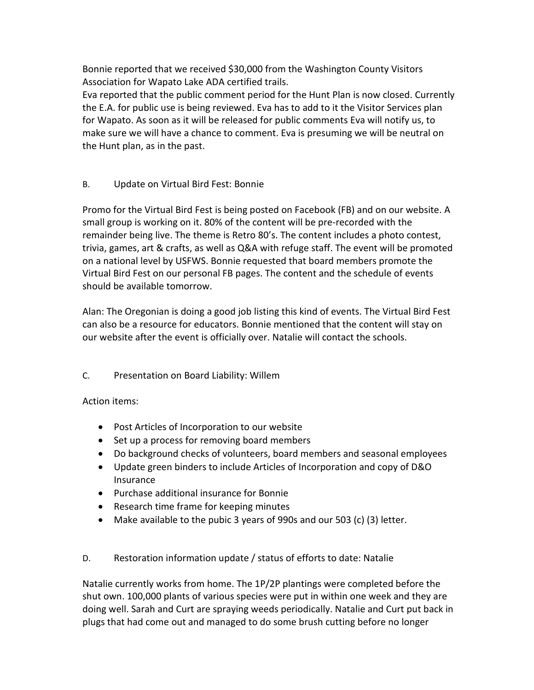Bonnie reported that we received \$30,000 from the Washington County Visitors Association for Wapato Lake ADA certified trails.

Eva reported that the public comment period for the Hunt Plan is now closed. Currently the E.A. for public use is being reviewed. Eva has to add to it the Visitor Services plan for Wapato. As soon as it will be released for public comments Eva will notify us, to make sure we will have a chance to comment. Eva is presuming we will be neutral on the Hunt plan, as in the past.

## B. Update on Virtual Bird Fest: Bonnie

Promo for the Virtual Bird Fest is being posted on Facebook (FB) and on our website. A small group is working on it. 80% of the content will be pre-recorded with the remainder being live. The theme is Retro 80's. The content includes a photo contest, trivia, games, art & crafts, as well as Q&A with refuge staff. The event will be promoted on a national level by USFWS. Bonnie requested that board members promote the Virtual Bird Fest on our personal FB pages. The content and the schedule of events should be available tomorrow.

Alan: The Oregonian is doing a good job listing this kind of events. The Virtual Bird Fest can also be a resource for educators. Bonnie mentioned that the content will stay on our website after the event is officially over. Natalie will contact the schools.

### C. Presentation on Board Liability: Willem

### Action items:

- Post Articles of Incorporation to our website
- Set up a process for removing board members
- Do background checks of volunteers, board members and seasonal employees
- Update green binders to include Articles of Incorporation and copy of D&O Insurance
- Purchase additional insurance for Bonnie
- Research time frame for keeping minutes
- Make available to the pubic 3 years of 990s and our 503 (c) (3) letter.
- D. Restoration information update / status of efforts to date: Natalie

Natalie currently works from home. The 1P/2P plantings were completed before the shut own. 100,000 plants of various species were put in within one week and they are doing well. Sarah and Curt are spraying weeds periodically. Natalie and Curt put back in plugs that had come out and managed to do some brush cutting before no longer